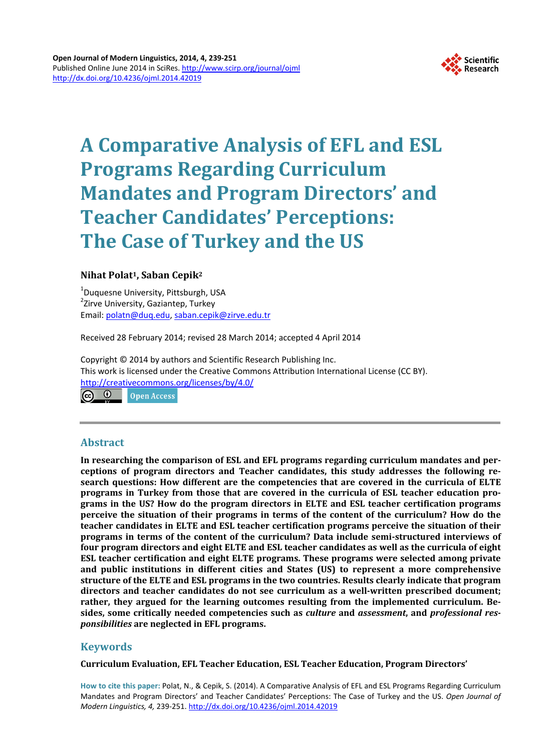

# **A Comparative Analysis of EFL and ESL Programs Regarding Curriculum Mandates and Program Directors' and Teacher Candidates' Perceptions: The Case of Turkey and the US**

# **Nihat Polat1, Saban Cepik2**

1 Duquesne University, Pittsburgh, USA <sup>2</sup>Zirve University, Gaziantep, Turkey Email: [polatn@duq.edu,](mailto:polatn@duq.edu) [saban.cepik@zirve.edu.tr](mailto:saban.cepik@zirve.edu.tr)

Received 28 February 2014; revised 28 March 2014; accepted 4 April 2014

Copyright © 2014 by authors and Scientific Research Publishing Inc. This work is licensed under the Creative Commons Attribution International License (CC BY). <http://creativecommons.org/licenses/by/4.0/>

Open Access

# **Abstract**

**In researching the comparison of ESL and EFL programs regarding curriculum mandates and perceptions of program directors and Teacher candidates, this study addresses the following research questions: How different are the competencies that are covered in the curricula of ELTE programs in Turkey from those that are covered in the curricula of ESL teacher education programs in the US? How do the program directors in ELTE and ESL teacher certification programs perceive the situation of their programs in terms of the content of the curriculum? How do the teacher candidates in ELTE and ESL teacher certification programs perceive the situation of their programs in terms of the content of the curriculum? Data include semi-structured interviews of four program directors and eight ELTE and ESL teacher candidates as well as the curricula of eight ESL teacher certification and eight ELTE programs. These programs were selected among private and public institutions in different cities and States (US) to represent a more comprehensive structure of the ELTE and ESL programs in the two countries. Results clearly indicate that program directors and teacher candidates do not see curriculum as a well-written prescribed document; rather, they argued for the learning outcomes resulting from the implemented curriculum. Besides, some critically needed competencies such as** *culture* **and** *assessment***, and** *professional responsibilities* **are neglected in EFL programs.**

# **Keywords**

**Curriculum Evaluation, EFL Teacher Education, ESL Teacher Education, Program Directors'** 

**How to cite this paper:** Polat, N., & Cepik, S. (2014). A Comparative Analysis of EFL and ESL Programs Regarding Curriculum Mandates and Program Directors' and Teacher Candidates' Perceptions: The Case of Turkey and the US. *Open Journal of Modern Linguistics, 4,* 239-251. <http://dx.doi.org/10.4236/ojml.2014.42019>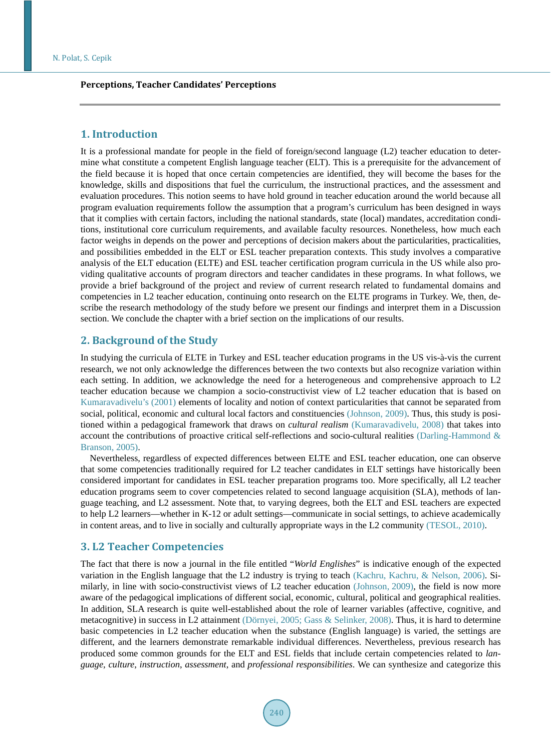#### **Perceptions, Teacher Candidates' Perceptions**

# **1. Introduction**

It is a professional mandate for people in the field of foreign/second language (L2) teacher education to determine what constitute a competent English language teacher (ELT). This is a prerequisite for the advancement of the field because it is hoped that once certain competencies are identified, they will become the bases for the knowledge, skills and dispositions that fuel the curriculum, the instructional practices, and the assessment and evaluation procedures. This notion seems to have hold ground in teacher education around the world because all program evaluation requirements follow the assumption that a program's curriculum has been designed in ways that it complies with certain factors, including the national standards, state (local) mandates, accreditation conditions, institutional core curriculum requirements, and available faculty resources. Nonetheless, how much each factor weighs in depends on the power and perceptions of decision makers about the particularities, practicalities, and possibilities embedded in the ELT or ESL teacher preparation contexts. This study involves a comparative analysis of the ELT education (ELTE) and ESL teacher certification program curricula in the US while also providing qualitative accounts of program directors and teacher candidates in these programs. In what follows, we provide a brief background of the project and review of current research related to fundamental domains and competencies in L2 teacher education, continuing onto research on the ELTE programs in Turkey. We, then, describe the research methodology of the study before we present our findings and interpret them in a Discussion section. We conclude the chapter with a brief section on the implications of our results.

## **2. Background of the Study**

In studying the curricula of ELTE in Turkey and ESL teacher education programs in the US vis-à-vis the current research, we not only acknowledge the differences between the two contexts but also recognize variation within each setting. In addition, we acknowledge the need for a heterogeneous and comprehensive approach to L2 teacher education because we champion a socio-constructivist view of L2 teacher education that is based on [Kumaravadivelu's \(2001\)](#page-11-0) elements of locality and notion of context particularities that cannot be separated from social, political, economic and cultural local factors and constituencies [\(Johnson, 2009\)](#page-11-0). Thus, this study is positioned within a pedagogical framework that draws on *cultural realism* [\(Kumaravadivelu, 2008\)](#page-11-0) that takes into account the contributions of proactive critical self-reflections and socio-cultural realities [\(Darling-Hammond &](#page-10-0)  [Branson, 2005\)](#page-10-0).

Nevertheless, regardless of expected differences between ELTE and ESL teacher education, one can observe that some competencies traditionally required for L2 teacher candidates in ELT settings have historically been considered important for candidates in ESL teacher preparation programs too. More specifically, all L2 teacher education programs seem to cover competencies related to second language acquisition (SLA), methods of language teaching, and L2 assessment. Note that, to varying degrees, both the ELT and ESL teachers are expected to help L2 learners—whether in K-12 or adult settings—communicate in social settings, to achieve academically in content areas, and to live in socially and culturally appropriate ways in the L2 community [\(TESOL, 2010\)](#page-11-1).

# **3. L2 Teacher Competencies**

The fact that there is now a journal in the file entitled "*World Englishes*" is indicative enough of the expected variation in the English language that the L2 industry is trying to teach [\(Kachru, Kachru, & Nelson, 2006\)](#page-11-0). Similarly, in line with socio-constructivist views of L2 teacher education [\(Johnson, 2009\)](#page-11-0), the field is now more aware of the pedagogical implications of different social, economic, cultural, political and geographical realities. In addition, SLA research is quite well-established about the role of learner variables (affective, cognitive, and metacognitive) in success in L2 attainment [\(Dörnyei,](#page-11-0) 2005; Gass & [Selinker, 2008\)](#page-11-0). Thus, it is hard to determine basic competencies in L2 teacher education when the substance (English language) is varied, the settings are different, and the learners demonstrate remarkable individual differences. Nevertheless, previous research has produced some common grounds for the ELT and ESL fields that include certain competencies related to *language*, *culture*, *instruction*, *assessment*, and *professional responsibilities*. We can synthesize and categorize this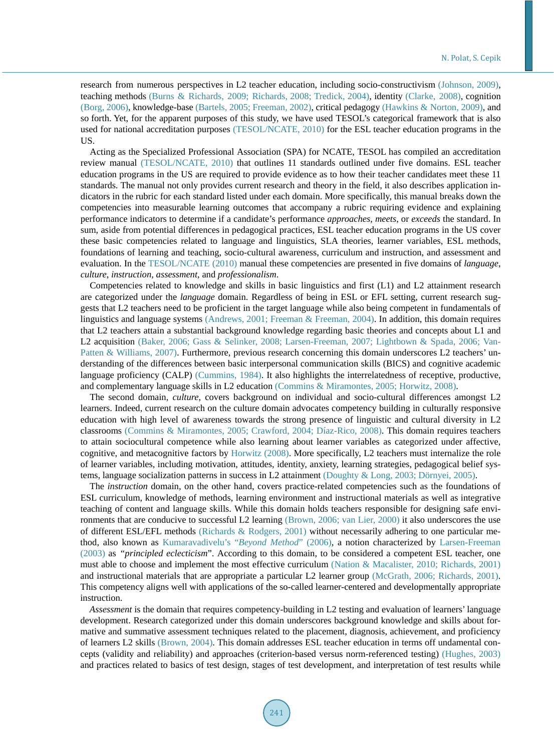research from numerous perspectives in L2 teacher education, including socio-constructivism [\(Johnson, 2009\)](#page-11-0), teaching methods [\(Burns & Richards, 2009;](#page-10-0) [Richards, 2008; Tredick, 2004\)](#page-11-1), identity [\(Clarke, 2008\)](#page-10-0), cognition [\(Borg, 2006\)](#page-10-0), knowledge-base [\(Bartels, 2005;](#page-10-0) [Freeman, 2002\)](#page-11-0), critical pedagogy [\(Hawkins & Norton, 2009\)](#page-11-0), and so forth. Yet, for the apparent purposes of this study, we have used TESOL's categorical framework that is also used for national accreditation purposes [\(TESOL/NCATE, 2010\)](#page-11-1) for the ESL teacher education programs in the US.

Acting as the Specialized Professional Association (SPA) for NCATE, TESOL has compiled an accreditation review manual [\(TESOL/NCATE, 2010\)](#page-11-1) that outlines 11 standards outlined under five domains. ESL teacher education programs in the US are required to provide evidence as to how their teacher candidates meet these 11 standards. The manual not only provides current research and theory in the field, it also describes application indicators in the rubric for each standard listed under each domain. More specifically, this manual breaks down the competencies into measurable learning outcomes that accompany a rubric requiring evidence and explaining performance indicators to determine if a candidate's performance *approaches*, *meets*, or *exceeds* the standard. In sum, aside from potential differences in pedagogical practices, ESL teacher education programs in the US cover these basic competencies related to language and linguistics, SLA theories, learner variables, ESL methods, foundations of learning and teaching, socio-cultural awareness, curriculum and instruction, and assessment and evaluation. In the [TESOL/NCATE \(2010\)](#page-11-1) manual these competencies are presented in five domains of *language*, *culture*, *instruction*, *assessment*, and *professionalism*.

Competencies related to knowledge and skills in basic linguistics and first (L1) and L2 attainment research are categorized under the *language* domain. Regardless of being in ESL or EFL setting, current research suggests that L2 teachers need to be proficient in the target language while also being competent in fundamentals of linguistics and language systems [\(Andrews, 2001;](#page-10-0) [Freeman & Freeman, 2004\)](#page-11-0). In addition, this domain requires that L2 teachers attain a substantial background knowledge regarding basic theories and concepts about L1 and L2 acquisition [\(Baker, 2006;](#page-10-0) Gass & [Selinker, 2008; Larsen-Freeman, 2007;](#page-11-0) Lightbown & [Spada, 2006;](#page-11-0) [Van-](#page-11-1)Patten [& Williams, 2007\)](#page-11-1). Furthermore, previous research concerning this domain underscores L2 teachers' understanding of the differences between basic interpersonal communication skills (BICS) and cognitive academic language proficiency (CALP) [\(Cummins, 1984\)](#page-10-0). It also highlights the interrelatedness of receptive, productive, and complementary language skills in L2 education (Commins [& Miramontes, 2005;](#page-10-0) [Horwitz, 2008\)](#page-11-0).

The second domain, *culture*, covers background on individual and socio-cultural differences amongst L2 learners. Indeed, current research on the culture domain advocates competency building in culturally responsive education with high level of awareness towards the strong presence of linguistic and cultural diversity in L2 classrooms (Commins [& Miramontes, 2005;](#page-10-0) [Crawford, 2004;](#page-10-0) [Díaz-Rico, 2008\)](#page-11-0). This domain requires teachers to attain sociocultural competence while also learning about learner variables as categorized under affective, cognitive, and metacognitive factors by [Horwitz \(2008\).](#page-11-0) More specifically, L2 teachers must internalize the role of learner variables, including motivation, attitudes, identity, anxiety, learning strategies, pedagogical belief systems, language socialization patterns in success in L2 attainment [\(Doughty & Long, 2003; Dörnyei,](#page-11-0) 2005).

The *instruction* domain, on the other hand, covers practice-related competencies such as the foundations of ESL curriculum, knowledge of methods, learning environment and instructional materials as well as integrative teaching of content and language skills. While this domain holds teachers responsible for designing safe environments that are conducive to successful L2 learning [\(Brown, 2006;](#page-10-0) [van Lier, 2000\)](#page-11-1) it also underscores the use of different ESL/EFL methods [\(Richards & Rodgers, 2001\)](#page-11-1) without necessarily adhering to one particular method, also known as [Kumaravadivelu's](#page-11-0) "*Beyond Method*" (2006), a notion characterized by [Larsen-Freeman](#page-11-0)  [\(2003\)](#page-11-0) as "*principled eclecticism*". According to this domain, to be considered a competent ESL teacher, one must able to choose and implement the most effective curriculum [\(Nation & Macalister, 2010;](#page-11-0) [Richards, 2001\)](#page-11-1) and instructional materials that are appropriate a particular L2 learner group [\(McGrath, 2006;](#page-11-0) [Richards, 2001\)](#page-11-1). This competency aligns well with applications of the so-called learner-centered and developmentally appropriate instruction.

*Assessment* is the domain that requires competency-building in L2 testing and evaluation of learners' language development. Research categorized under this domain underscores background knowledge and skills about formative and summative assessment techniques related to the placement, diagnosis, achievement, and proficiency of learners L2 skills [\(Brown, 2004\)](#page-10-0). This domain addresses ESL teacher education in terms off undamental concepts (validity and reliability) and approaches (criterion-based versus norm-referenced testing) [\(Hughes, 2003\)](#page-11-0) and practices related to basics of test design, stages of test development, and interpretation of test results while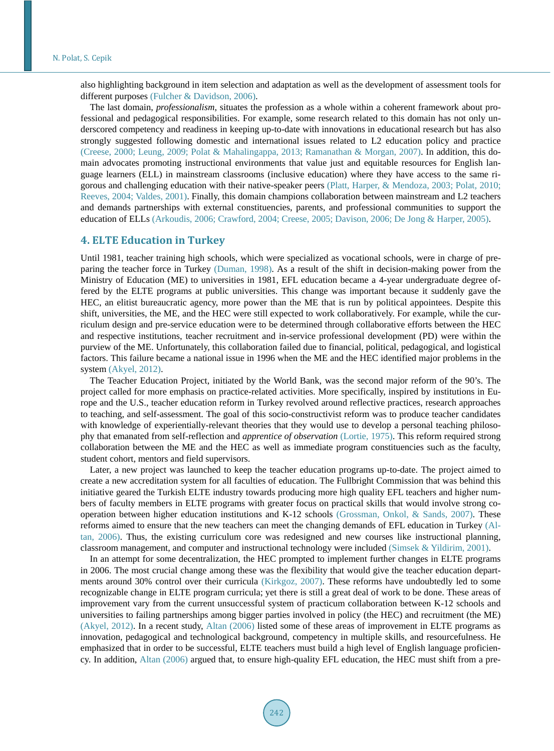also highlighting background in item selection and adaptation as well as the development of assessment tools for different purposes (Fulcher [& Davidson, 2006\)](#page-11-0).

The last domain, *professionalism*, situates the profession as a whole within a coherent framework about professional and pedagogical responsibilities. For example, some research related to this domain has not only underscored competency and readiness in keeping up-to-date with innovations in educational research but has also strongly suggested following domestic and international issues related to L2 education policy and practice [\(Creese, 2000;](#page-10-0) [Leung, 2009;](#page-11-0) Polat & [Mahalingappa, 2013;](#page-11-1) Ramanathan [& Morgan, 2007\)](#page-11-1). In addition, this domain advocates promoting instructional environments that value just and equitable resources for English language learners (ELL) in mainstream classrooms (inclusive education) where they have access to the same rigorous and challenging education with their native-speaker peers [\(Platt, Harper, & Mendoza, 2003;](#page-11-0) [Polat, 2010;](#page-11-1) [Reeves, 2004; Valdes, 2001\)](#page-11-1). Finally, this domain champions collaboration between mainstream and L2 teachers and demands partnerships with external constituencies, parents, and professional communities to support the education of ELLs [\(Arkoudis, 2006; Crawford, 2004; Creese, 2005; Davison, 2006; De Jong & Harper, 2005\)](#page-10-0).

#### **4. ELTE Education in Turkey**

Until 1981, teacher training high schools, which were specialized as vocational schools, were in charge of preparing the teacher force in Turkey [\(Duman, 1998\)](#page-11-0). As a result of the shift in decision-making power from the Ministry of Education (ME) to universities in 1981, EFL education became a 4-year undergraduate degree offered by the ELTE programs at public universities. This change was important because it suddenly gave the HEC, an elitist bureaucratic agency, more power than the ME that is run by political appointees. Despite this shift, universities, the ME, and the HEC were still expected to work collaboratively. For example, while the curriculum design and pre-service education were to be determined through collaborative efforts between the HEC and respective institutions, teacher recruitment and in-service professional development (PD) were within the purview of the ME. Unfortunately, this collaboration failed due to financial, political, pedagogical, and logistical factors. This failure became a national issue in 1996 when the ME and the HEC identified major problems in the system [\(Akyel, 2012\)](#page-10-0).

The Teacher Education Project, initiated by the World Bank, was the second major reform of the 90's. The project called for more emphasis on practice-related activities. More specifically, inspired by institutions in Europe and the U.S., teacher education reform in Turkey revolved around reflective practices, research approaches to teaching, and self-assessment. The goal of this socio-constructivist reform was to produce teacher candidates with knowledge of experientially-relevant theories that they would use to develop a personal teaching philosophy that emanated from self-reflection and *apprentice of observation* [\(Lortie, 1975\)](#page-11-0). This reform required strong collaboration between the ME and the HEC as well as immediate program constituencies such as the faculty, student cohort, mentors and field supervisors.

Later, a new project was launched to keep the teacher education programs up-to-date. The project aimed to create a new accreditation system for all faculties of education. The Fullbright Commission that was behind this initiative geared the Turkish ELTE industry towards producing more high quality EFL teachers and higher numbers of faculty members in ELTE programs with greater focus on practical skills that would involve strong cooperation between higher education institutions and K-12 schools [\(Grossman, Onkol, & Sands, 2007\)](#page-11-0). These reforms aimed to ensure that the new teachers can meet the changing demands of EFL education in Turkey [\(Al](#page-10-0)[tan, 2006\)](#page-10-0). Thus, the existing curriculum core was redesigned and new courses like instructional planning, classroom management, and computer and instructional technology were included [\(Simsek & Yildirim,](#page-11-1) 2001).

In an attempt for some decentralization, the HEC prompted to implement further changes in ELTE programs in 2006. The most crucial change among these was the flexibility that would give the teacher education departments around 30% control over their curricula [\(Kirkgoz, 2007\)](#page-11-0). These reforms have undoubtedly led to some recognizable change in ELTE program curricula; yet there is still a great deal of work to be done. These areas of improvement vary from the current unsuccessful system of practicum collaboration between K-12 schools and universities to failing partnerships among bigger parties involved in policy (the HEC) and recruitment (the ME) [\(Akyel, 2012\)](#page-10-0). In a recent study, [Altan \(2006\)](#page-10-0) listed some of these areas of improvement in ELTE programs as innovation, pedagogical and technological background, competency in multiple skills, and resourcefulness. He emphasized that in order to be successful, ELTE teachers must build a high level of English language proficiency. In addition, [Altan \(2006\)](#page-10-0) argued that, to ensure high-quality EFL education, the HEC must shift from a pre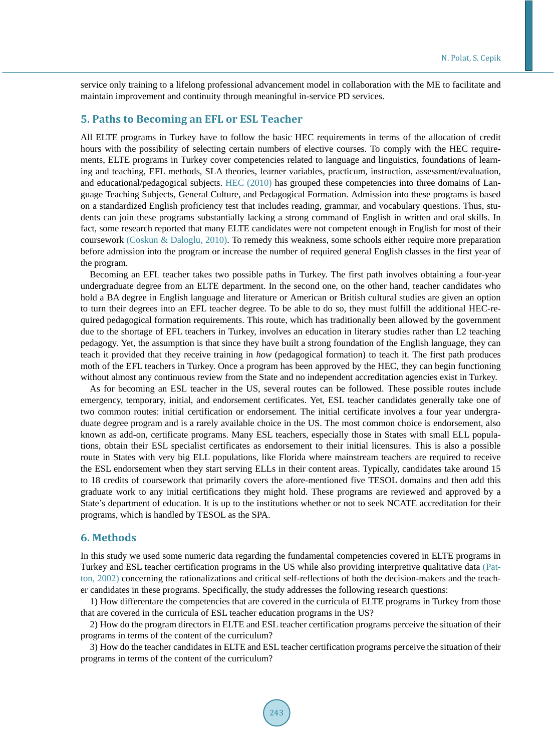service only training to a lifelong professional advancement model in collaboration with the ME to facilitate and maintain improvement and continuity through meaningful in-service PD services.

# **5. Paths to Becoming an EFL or ESL Teacher**

All ELTE programs in Turkey have to follow the basic HEC requirements in terms of the allocation of credit hours with the possibility of selecting certain numbers of elective courses. To comply with the HEC requirements, ELTE programs in Turkey cover competencies related to language and linguistics, foundations of learning and teaching, EFL methods, SLA theories, learner variables, practicum, instruction, assessment/evaluation, and educational/pedagogical subjects. [HEC \(2010\)](#page-11-0) has grouped these competencies into three domains of Language Teaching Subjects, General Culture, and Pedagogical Formation. Admission into these programs is based on a standardized English proficiency test that includes reading, grammar, and vocabulary questions. Thus, students can join these programs substantially lacking a strong command of English in written and oral skills. In fact, some research reported that many ELTE candidates were not competent enough in English for most of their coursework (Coskun & [Daloglu, 2010\)](#page-10-0). To remedy this weakness, some schools either require more preparation before admission into the program or increase the number of required general English classes in the first year of the program.

Becoming an EFL teacher takes two possible paths in Turkey. The first path involves obtaining a four-year undergraduate degree from an ELTE department. In the second one, on the other hand, teacher candidates who hold a BA degree in English language and literature or American or British cultural studies are given an option to turn their degrees into an EFL teacher degree. To be able to do so, they must fulfill the additional HEC-required pedagogical formation requirements. This route, which has traditionally been allowed by the government due to the shortage of EFL teachers in Turkey, involves an education in literary studies rather than L2 teaching pedagogy. Yet, the assumption is that since they have built a strong foundation of the English language, they can teach it provided that they receive training in *how* (pedagogical formation) to teach it. The first path produces moth of the EFL teachers in Turkey. Once a program has been approved by the HEC, they can begin functioning without almost any continuous review from the State and no independent accreditation agencies exist in Turkey.

As for becoming an ESL teacher in the US, several routes can be followed. These possible routes include emergency, temporary, initial, and endorsement certificates. Yet, ESL teacher candidates generally take one of two common routes: initial certification or endorsement. The initial certificate involves a four year undergraduate degree program and is a rarely available choice in the US. The most common choice is endorsement, also known as add-on, certificate programs. Many ESL teachers, especially those in States with small ELL populations, obtain their ESL specialist certificates as endorsement to their initial licensures. This is also a possible route in States with very big ELL populations, like Florida where mainstream teachers are required to receive the ESL endorsement when they start serving ELLs in their content areas. Typically, candidates take around 15 to 18 credits of coursework that primarily covers the afore-mentioned five TESOL domains and then add this graduate work to any initial certifications they might hold. These programs are reviewed and approved by a State's department of education. It is up to the institutions whether or not to seek NCATE accreditation for their programs, which is handled by TESOL as the SPA.

## **6. Methods**

In this study we used some numeric data regarding the fundamental competencies covered in ELTE programs in Turkey and ESL teacher certification programs in the US while also providing interpretive qualitative data [\(Pat](#page-11-0)[ton, 2002\)](#page-11-0) concerning the rationalizations and critical self-reflections of both the decision-makers and the teacher candidates in these programs. Specifically, the study addresses the following research questions:

1) How differentare the competencies that are covered in the curricula of ELTE programs in Turkey from those that are covered in the curricula of ESL teacher education programs in the US?

2) How do the program directors in ELTE and ESL teacher certification programs perceive the situation of their programs in terms of the content of the curriculum?

3) How do the teacher candidates in ELTE and ESL teacher certification programs perceive the situation of their programs in terms of the content of the curriculum?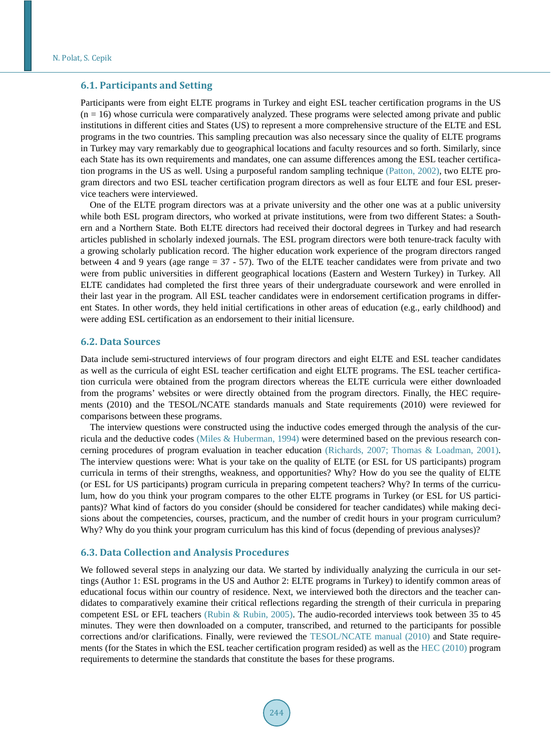## **6.1. Participants and Setting**

Participants were from eight ELTE programs in Turkey and eight ESL teacher certification programs in the US  $(n = 16)$  whose curricula were comparatively analyzed. These programs were selected among private and public institutions in different cities and States (US) to represent a more comprehensive structure of the ELTE and ESL programs in the two countries. This sampling precaution was also necessary since the quality of ELTE programs in Turkey may vary remarkably due to geographical locations and faculty resources and so forth. Similarly, since each State has its own requirements and mandates, one can assume differences among the ESL teacher certification programs in the US as well. Using a purposeful random sampling technique [\(Patton, 2002\)](#page-11-0), two ELTE program directors and two ESL teacher certification program directors as well as four ELTE and four ESL preservice teachers were interviewed.

One of the ELTE program directors was at a private university and the other one was at a public university while both ESL program directors, who worked at private institutions, were from two different States: a Southern and a Northern State. Both ELTE directors had received their doctoral degrees in Turkey and had research articles published in scholarly indexed journals. The ESL program directors were both tenure-track faculty with a growing scholarly publication record. The higher education work experience of the program directors ranged between 4 and 9 years (age range  $= 37 - 57$ ). Two of the ELTE teacher candidates were from private and two were from public universities in different geographical locations (Eastern and Western Turkey) in Turkey. All ELTE candidates had completed the first three years of their undergraduate coursework and were enrolled in their last year in the program. All ESL teacher candidates were in endorsement certification programs in different States. In other words, they held initial certifications in other areas of education (e.g., early childhood) and were adding ESL certification as an endorsement to their initial licensure.

#### **6.2. Data Sources**

Data include semi-structured interviews of four program directors and eight ELTE and ESL teacher candidates as well as the curricula of eight ESL teacher certification and eight ELTE programs. The ESL teacher certification curricula were obtained from the program directors whereas the ELTE curricula were either downloaded from the programs' websites or were directly obtained from the program directors. Finally, the HEC requirements (2010) and the TESOL/NCATE standards manuals and State requirements (2010) were reviewed for comparisons between these programs.

The interview questions were constructed using the inductive codes emerged through the analysis of the curricula and the deductive codes (Miles & [Huberman, 1994\)](#page-11-0) were determined based on the previous research concerning procedures of program evaluation in teacher education [\(Richards, 2007;](#page-11-1) Thomas & [Loadman, 2001\)](#page-11-1). The interview questions were: What is your take on the quality of ELTE (or ESL for US participants) program curricula in terms of their strengths, weakness, and opportunities? Why? How do you see the quality of ELTE (or ESL for US participants) program curricula in preparing competent teachers? Why? In terms of the curriculum, how do you think your program compares to the other ELTE programs in Turkey (or ESL for US participants)? What kind of factors do you consider (should be considered for teacher candidates) while making decisions about the competencies, courses, practicum, and the number of credit hours in your program curriculum? Why? Why do you think your program curriculum has this kind of focus (depending of previous analyses)?

## **6.3. Data Collection and Analysis Procedures**

We followed several steps in analyzing our data. We started by individually analyzing the curricula in our settings (Author 1: ESL programs in the US and Author 2: ELTE programs in Turkey) to identify common areas of educational focus within our country of residence. Next, we interviewed both the directors and the teacher candidates to comparatively examine their critical reflections regarding the strength of their curricula in preparing competent ESL or EFL teachers [\(Rubin & Rubin, 2005\)](#page-11-1). The audio-recorded interviews took between 35 to 45 minutes. They were then downloaded on a computer, transcribed, and returned to the participants for possible corrections and/or clarifications. Finally, were reviewed the [TESOL/NCATE manual \(2010\)](#page-11-1) and State requirements (for the States in which the ESL teacher certification program resided) as well as the [HEC \(2010\)](#page-11-0) program requirements to determine the standards that constitute the bases for these programs.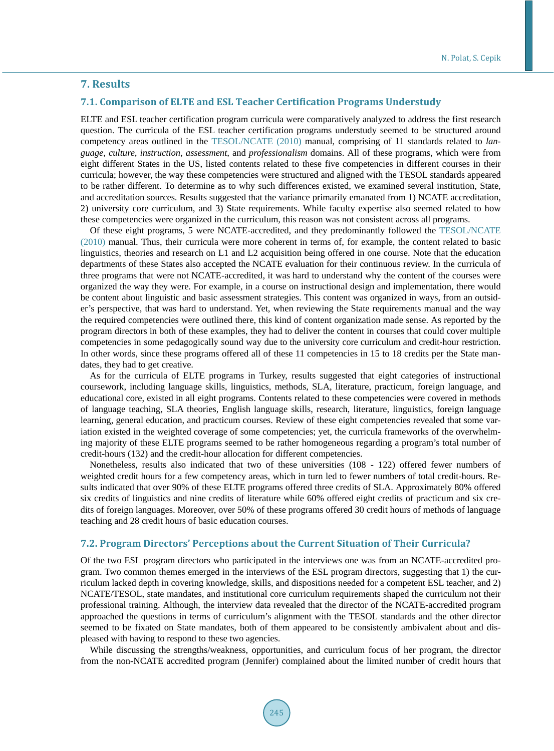# **7. Results**

#### **7.1. Comparison of ELTE and ESL Teacher Certification Programs Understudy**

ELTE and ESL teacher certification program curricula were comparatively analyzed to address the first research question. The curricula of the ESL teacher certification programs understudy seemed to be structured around competency areas outlined in the [TESOL/NCATE \(2010\)](#page-11-1) manual, comprising of 11 standards related to *language*, *culture*, *instruction*, *assessment*, and *professionalism* domains. All of these programs, which were from eight different States in the US, listed contents related to these five competencies in different courses in their curricula; however, the way these competencies were structured and aligned with the TESOL standards appeared to be rather different. To determine as to why such differences existed, we examined several institution, State, and accreditation sources. Results suggested that the variance primarily emanated from 1) NCATE accreditation, 2) university core curriculum, and 3) State requirements. While faculty expertise also seemed related to how these competencies were organized in the curriculum, this reason was not consistent across all programs.

Of these eight programs, 5 were NCATE-accredited, and they predominantly followed the [TESOL/NCATE](#page-11-1)  [\(2010\)](#page-11-1) manual. Thus, their curricula were more coherent in terms of, for example, the content related to basic linguistics, theories and research on L1 and L2 acquisition being offered in one course. Note that the education departments of these States also accepted the NCATE evaluation for their continuous review. In the curricula of three programs that were not NCATE-accredited, it was hard to understand why the content of the courses were organized the way they were. For example, in a course on instructional design and implementation, there would be content about linguistic and basic assessment strategies. This content was organized in ways, from an outsider's perspective, that was hard to understand. Yet, when reviewing the State requirements manual and the way the required competencies were outlined there, this kind of content organization made sense. As reported by the program directors in both of these examples, they had to deliver the content in courses that could cover multiple competencies in some pedagogically sound way due to the university core curriculum and credit-hour restriction. In other words, since these programs offered all of these 11 competencies in 15 to 18 credits per the State mandates, they had to get creative.

As for the curricula of ELTE programs in Turkey, results suggested that eight categories of instructional coursework, including language skills, linguistics, methods, SLA, literature, practicum, foreign language, and educational core, existed in all eight programs. Contents related to these competencies were covered in methods of language teaching, SLA theories, English language skills, research, literature, linguistics, foreign language learning, general education, and practicum courses. Review of these eight competencies revealed that some variation existed in the weighted coverage of some competencies; yet, the curricula frameworks of the overwhelming majority of these ELTE programs seemed to be rather homogeneous regarding a program's total number of credit-hours (132) and the credit-hour allocation for different competencies.

Nonetheless, results also indicated that two of these universities (108 - 122) offered fewer numbers of weighted credit hours for a few competency areas, which in turn led to fewer numbers of total credit-hours. Results indicated that over 90% of these ELTE programs offered three credits of SLA. Approximately 80% offered six credits of linguistics and nine credits of literature while 60% offered eight credits of practicum and six credits of foreign languages. Moreover, over 50% of these programs offered 30 credit hours of methods of language teaching and 28 credit hours of basic education courses.

#### **7.2. Program Directors' Perceptions about the Current Situation of Their Curricula?**

Of the two ESL program directors who participated in the interviews one was from an NCATE-accredited program. Two common themes emerged in the interviews of the ESL program directors, suggesting that 1) the curriculum lacked depth in covering knowledge, skills, and dispositions needed for a competent ESL teacher, and 2) NCATE/TESOL, state mandates, and institutional core curriculum requirements shaped the curriculum not their professional training. Although, the interview data revealed that the director of the NCATE-accredited program approached the questions in terms of curriculum's alignment with the TESOL standards and the other director seemed to be fixated on State mandates, both of them appeared to be consistently ambivalent about and displeased with having to respond to these two agencies.

While discussing the strengths/weakness, opportunities, and curriculum focus of her program, the director from the non-NCATE accredited program (Jennifer) complained about the limited number of credit hours that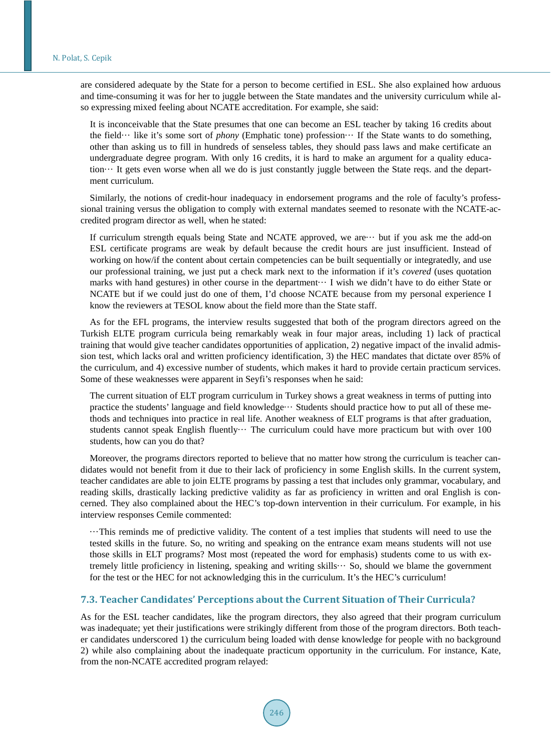are considered adequate by the State for a person to become certified in ESL. She also explained how arduous and time-consuming it was for her to juggle between the State mandates and the university curriculum while also expressing mixed feeling about NCATE accreditation. For example, she said:

It is inconceivable that the State presumes that one can become an ESL teacher by taking 16 credits about the field··· like it's some sort of *phony* (Emphatic tone) profession··· If the State wants to do something, other than asking us to fill in hundreds of senseless tables, they should pass laws and make certificate an undergraduate degree program. With only 16 credits, it is hard to make an argument for a quality education··· It gets even worse when all we do is just constantly juggle between the State reqs. and the department curriculum.

Similarly, the notions of credit-hour inadequacy in endorsement programs and the role of faculty's professsional training versus the obligation to comply with external mandates seemed to resonate with the NCATE-accredited program director as well, when he stated:

If curriculum strength equals being State and NCATE approved, we are··· but if you ask me the add-on ESL certificate programs are weak by default because the credit hours are just insufficient. Instead of working on how/if the content about certain competencies can be built sequentially or integratedly, and use our professional training, we just put a check mark next to the information if it's *covered* (uses quotation marks with hand gestures) in other course in the department··· I wish we didn't have to do either State or NCATE but if we could just do one of them, I'd choose NCATE because from my personal experience I know the reviewers at TESOL know about the field more than the State staff.

As for the EFL programs, the interview results suggested that both of the program directors agreed on the Turkish ELTE program curricula being remarkably weak in four major areas, including 1) lack of practical training that would give teacher candidates opportunities of application, 2) negative impact of the invalid admission test, which lacks oral and written proficiency identification, 3) the HEC mandates that dictate over 85% of the curriculum, and 4) excessive number of students, which makes it hard to provide certain practicum services. Some of these weaknesses were apparent in Seyfi's responses when he said:

The current situation of ELT program curriculum in Turkey shows a great weakness in terms of putting into practice the students' language and field knowledge··· Students should practice how to put all of these methods and techniques into practice in real life. Another weakness of ELT programs is that after graduation, students cannot speak English fluently  $\cdots$  The curriculum could have more practicum but with over 100 students, how can you do that?

Moreover, the programs directors reported to believe that no matter how strong the curriculum is teacher candidates would not benefit from it due to their lack of proficiency in some English skills. In the current system, teacher candidates are able to join ELTE programs by passing a test that includes only grammar, vocabulary, and reading skills, drastically lacking predictive validity as far as proficiency in written and oral English is concerned. They also complained about the HEC's top-down intervention in their curriculum. For example, in his interview responses Cemile commented:

···This reminds me of predictive validity. The content of a test implies that students will need to use the tested skills in the future. So, no writing and speaking on the entrance exam means students will not use those skills in ELT programs? Most most (repeated the word for emphasis) students come to us with extremely little proficiency in listening, speaking and writing skills··· So, should we blame the government for the test or the HEC for not acknowledging this in the curriculum. It's the HEC's curriculum!

#### **7.3. Teacher Candidates' Perceptions about the Current Situation of Their Curricula?**

As for the ESL teacher candidates, like the program directors, they also agreed that their program curriculum was inadequate; yet their justifications were strikingly different from those of the program directors. Both teacher candidates underscored 1) the curriculum being loaded with dense knowledge for people with no background 2) while also complaining about the inadequate practicum opportunity in the curriculum. For instance, Kate, from the non-NCATE accredited program relayed: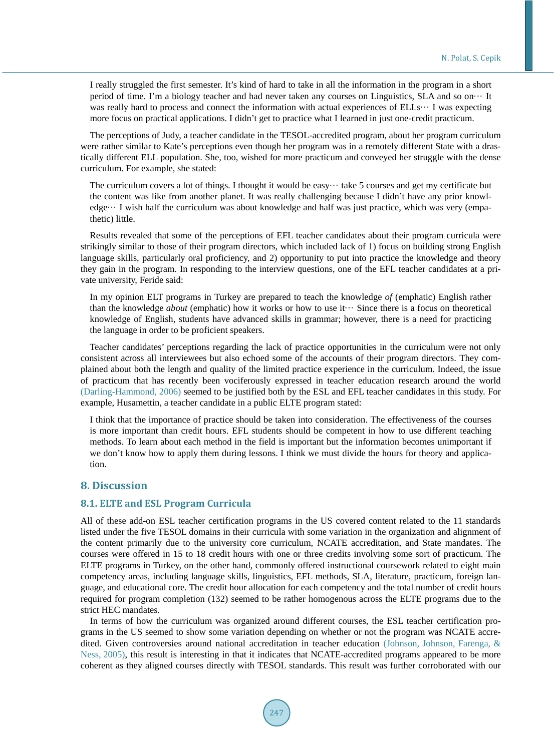I really struggled the first semester. It's kind of hard to take in all the information in the program in a short period of time. I'm a biology teacher and had never taken any courses on Linguistics, SLA and so on··· It was really hard to process and connect the information with actual experiences of  $ELLs \cdots$  I was expecting more focus on practical applications. I didn't get to practice what I learned in just one-credit practicum.

The perceptions of Judy, a teacher candidate in the TESOL-accredited program, about her program curriculum were rather similar to Kate's perceptions even though her program was in a remotely different State with a drastically different ELL population. She, too, wished for more practicum and conveyed her struggle with the dense curriculum. For example, she stated:

The curriculum covers a lot of things. I thought it would be easy $\cdots$  take 5 courses and get my certificate but the content was like from another planet. It was really challenging because I didn't have any prior knowl $edge...$  I wish half the curriculum was about knowledge and half was just practice, which was very (empathetic) little.

Results revealed that some of the perceptions of EFL teacher candidates about their program curricula were strikingly similar to those of their program directors, which included lack of 1) focus on building strong English language skills, particularly oral proficiency, and 2) opportunity to put into practice the knowledge and theory they gain in the program. In responding to the interview questions, one of the EFL teacher candidates at a private university, Feride said:

In my opinion ELT programs in Turkey are prepared to teach the knowledge *of* (emphatic) English rather than the knowledge *about* (emphatic) how it works or how to use it··· Since there is a focus on theoretical knowledge of English, students have advanced skills in grammar; however, there is a need for practicing the language in order to be proficient speakers.

Teacher candidates' perceptions regarding the lack of practice opportunities in the curriculum were not only consistent across all interviewees but also echoed some of the accounts of their program directors. They complained about both the length and quality of the limited practice experience in the curriculum. Indeed, the issue of practicum that has recently been vociferously expressed in teacher education research around the world [\(Darling-Hammond, 2006\)](#page-10-0) seemed to be justified both by the ESL and EFL teacher candidates in this study. For example, Husamettin, a teacher candidate in a public ELTE program stated:

I think that the importance of practice should be taken into consideration. The effectiveness of the courses is more important than credit hours. EFL students should be competent in how to use different teaching methods. To learn about each method in the field is important but the information becomes unimportant if we don't know how to apply them during lessons. I think we must divide the hours for theory and application.

# **8. Discussion**

## **8.1. ELTE and ESL Program Curricula**

All of these add-on ESL teacher certification programs in the US covered content related to the 11 standards listed under the five TESOL domains in their curricula with some variation in the organization and alignment of the content primarily due to the university core curriculum, NCATE accreditation, and State mandates. The courses were offered in 15 to 18 credit hours with one or three credits involving some sort of practicum. The ELTE programs in Turkey, on the other hand, commonly offered instructional coursework related to eight main competency areas, including language skills, linguistics, EFL methods, SLA, literature, practicum, foreign language, and educational core. The credit hour allocation for each competency and the total number of credit hours required for program completion (132) seemed to be rather homogenous across the ELTE programs due to the strict HEC mandates.

In terms of how the curriculum was organized around different courses, the ESL teacher certification programs in the US seemed to show some variation depending on whether or not the program was NCATE accredited. Given controversies around national accreditation in teacher education [\(Johnson, Johnson, Farenga, &](#page-11-0)  [Ness, 2005\)](#page-11-0), this result is interesting in that it indicates that NCATE-accredited programs appeared to be more coherent as they aligned courses directly with TESOL standards. This result was further corroborated with our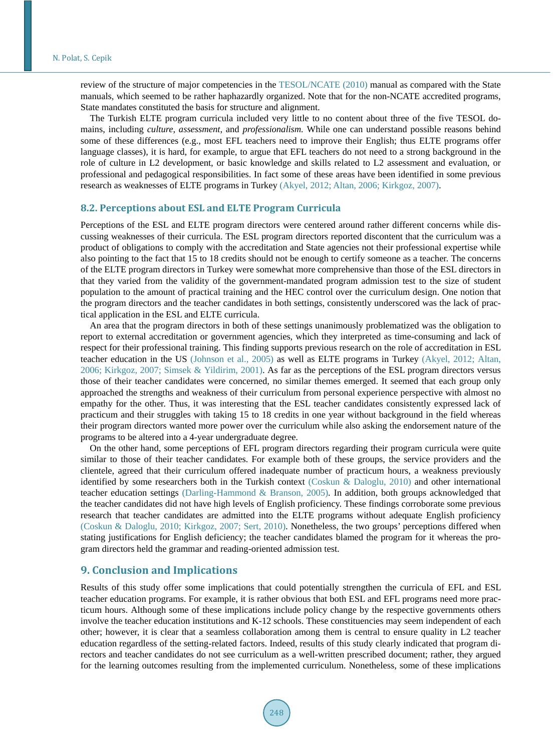review of the structure of major competencies in the [TESOL/NCATE \(2010\)](#page-11-1) manual as compared with the State manuals, which seemed to be rather haphazardly organized. Note that for the non-NCATE accredited programs, State mandates constituted the basis for structure and alignment.

The Turkish ELTE program curricula included very little to no content about three of the five TESOL domains, including *culture*, *assessment*, and *professionalism.* While one can understand possible reasons behind some of these differences (e.g., most EFL teachers need to improve their English; thus ELTE programs offer language classes), it is hard, for example, to argue that EFL teachers do not need to a strong background in the role of culture in L2 development, or basic knowledge and skills related to L2 assessment and evaluation, or professional and pedagogical responsibilities. In fact some of these areas have been identified in some previous research as weaknesses of ELTE programs in Turkey [\(Akyel, 2012; Altan, 2006;](#page-10-0) [Kirkgoz, 2007\)](#page-11-0).

### **8.2. Perceptions about ESL and ELTE Program Curricula**

Perceptions of the ESL and ELTE program directors were centered around rather different concerns while discussing weaknesses of their curricula. The ESL program directors reported discontent that the curriculum was a product of obligations to comply with the accreditation and State agencies not their professional expertise while also pointing to the fact that 15 to 18 credits should not be enough to certify someone as a teacher. The concerns of the ELTE program directors in Turkey were somewhat more comprehensive than those of the ESL directors in that they varied from the validity of the government-mandated program admission test to the size of student population to the amount of practical training and the HEC control over the curriculum design. One notion that the program directors and the teacher candidates in both settings, consistently underscored was the lack of practical application in the ESL and ELTE curricula.

An area that the program directors in both of these settings unanimously problematized was the obligation to report to external accreditation or government agencies, which they interpreted as time-consuming and lack of respect for their professional training. This finding supports previous research on the role of accreditation in ESL teacher education in the US [\(Johnson et al., 2005\)](#page-11-0) as well as ELTE programs in Turkey [\(Akyel, 2012; Altan,](#page-10-0)  [2006;](#page-10-0) [Kirkgoz, 2007;](#page-11-0) [Simsek & Yildirim, 2001\)](#page-11-1). As far as the perceptions of the ESL program directors versus those of their teacher candidates were concerned, no similar themes emerged. It seemed that each group only approached the strengths and weakness of their curriculum from personal experience perspective with almost no empathy for the other. Thus, it was interesting that the ESL teacher candidates consistently expressed lack of practicum and their struggles with taking 15 to 18 credits in one year without background in the field whereas their program directors wanted more power over the curriculum while also asking the endorsement nature of the programs to be altered into a 4-year undergraduate degree.

On the other hand, some perceptions of EFL program directors regarding their program curricula were quite similar to those of their teacher candidates. For example both of these groups, the service providers and the clientele, agreed that their curriculum offered inadequate number of practicum hours, a weakness previously identified by some researchers both in the Turkish context (Coskun & [Daloglu, 2010\)](#page-10-0) and other international teacher education settings [\(Darling-Hammond](#page-10-0) & Branson, 2005)*.* In addition, both groups acknowledged that the teacher candidates did not have high levels of English proficiency. These findings corroborate some previous research that teacher candidates are admitted into the ELTE programs without adequate English proficiency (Coskun & [Daloglu, 2010;](#page-10-0) [Kirkgoz, 2007; Sert, 2010\)](#page-11-0). Nonetheless, the two groups' perceptions differed when stating justifications for English deficiency; the teacher candidates blamed the program for it whereas the program directors held the grammar and reading-oriented admission test.

# **9. Conclusion and Implications**

Results of this study offer some implications that could potentially strengthen the curricula of EFL and ESL teacher education programs. For example, it is rather obvious that both ESL and EFL programs need more practicum hours. Although some of these implications include policy change by the respective governments others involve the teacher education institutions and K-12 schools. These constituencies may seem independent of each other; however, it is clear that a seamless collaboration among them is central to ensure quality in L2 teacher education regardless of the setting-related factors. Indeed, results of this study clearly indicated that program directors and teacher candidates do not see curriculum as a well-written prescribed document; rather, they argued for the learning outcomes resulting from the implemented curriculum. Nonetheless, some of these implications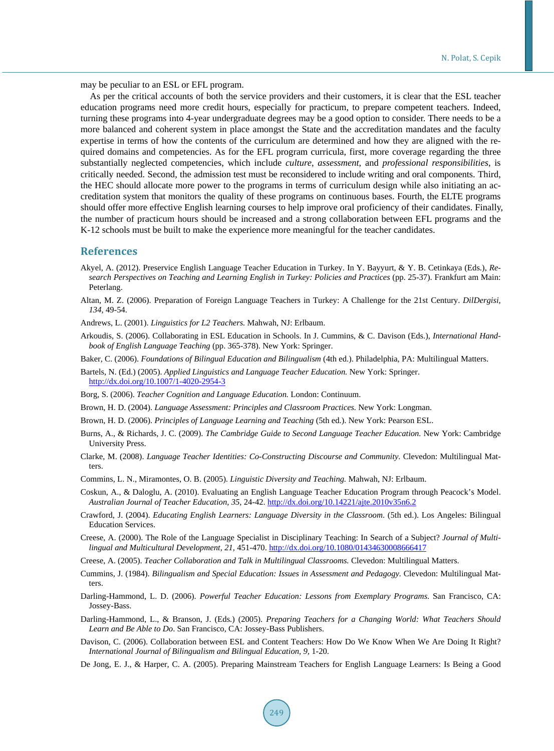may be peculiar to an ESL or EFL program.

As per the critical accounts of both the service providers and their customers, it is clear that the ESL teacher education programs need more credit hours, especially for practicum, to prepare competent teachers. Indeed, turning these programs into 4-year undergraduate degrees may be a good option to consider. There needs to be a more balanced and coherent system in place amongst the State and the accreditation mandates and the faculty expertise in terms of how the contents of the curriculum are determined and how they are aligned with the required domains and competencies. As for the EFL program curricula, first, more coverage regarding the three substantially neglected competencies, which include *culture*, *assessment*, and *professional responsibilities*, is critically needed. Second, the admission test must be reconsidered to include writing and oral components. Third, the HEC should allocate more power to the programs in terms of curriculum design while also initiating an accreditation system that monitors the quality of these programs on continuous bases. Fourth, the ELTE programs should offer more effective English learning courses to help improve oral proficiency of their candidates. Finally, the number of practicum hours should be increased and a strong collaboration between EFL programs and the K-12 schools must be built to make the experience more meaningful for the teacher candidates.

#### **References**

- <span id="page-10-0"></span>Akyel, A. (2012). Preservice English Language Teacher Education in Turkey. In Y. Bayyurt, & Y. B. Cetinkaya (Eds.), *Research Perspectives on Teaching and Learning English in Turkey: Policies and Practices* (pp. 25-37). Frankfurt am Main: Peterlang.
- Altan, M. Z. (2006). Preparation of Foreign Language Teachers in Turkey: A Challenge for the 21st Century. *DilDergisi, 134,* 49-54.
- Andrews, L. (2001). *Linguistics for L2 Teachers.* Mahwah, NJ: Erlbaum.
- Arkoudis, S. (2006). Collaborating in ESL Education in Schools. In J. Cummins, & C. Davison (Eds.), *International Handbook of English Language Teaching* (pp. 365-378). New York: Springer.
- Baker, C. (2006). *Foundations of Bilingual Education and Bilingualism* (4th ed.). Philadelphia, PA: Multilingual Matters.

Bartels, N. (Ed.) (2005). *Applied Linguistics and Language Teacher Education.* New York: Springer. <http://dx.doi.org/10.1007/1-4020-2954-3>

- Borg, S. (2006). *Teacher Cognition and Language Education.* London: Continuum.
- Brown, H. D. (2004). *Language Assessment: Principles and Classroom Practices.* New York: Longman.
- Brown, H. D. (2006). *Principles of Language Learning and Teaching* (5th ed.). New York: Pearson ESL.
- Burns, A., & Richards, J. C. (2009). *The Cambridge Guide to Second Language Teacher Education.* New York: Cambridge University Press.
- Clarke, M. (2008). *Language Teacher Identities: Co-Constructing Discourse and Community*. Clevedon: Multilingual Matters.
- Commins, L. N., Miramontes, O. B. (2005). *Linguistic Diversity and Teaching.* Mahwah, NJ: Erlbaum.
- Coskun, A., & Daloglu, A. (2010). Evaluating an English Language Teacher Education Program through Peacock's Model. *Australian Journal of Teacher Education, 35,* 24-42. <http://dx.doi.org/10.14221/ajte.2010v35n6.2>
- Crawford, J. (2004). *Educating English Learners: Language Diversity in the Classroom*. (5th ed.). Los Angeles: Bilingual Education Services.
- Creese, A. (2000). The Role of the Language Specialist in Disciplinary Teaching: In Search of a Subject? *Journal of Multilingual and Multicultural Development, 21,* 451-470. <http://dx.doi.org/10.1080/01434630008666417>
- Creese, A. (2005). *Teacher Collaboration and Talk in Multilingual Classrooms.* Clevedon: Multilingual Matters.
- Cummins, J. (1984). *Bilingualism and Special Education: Issues in Assessment and Pedagogy.* Clevedon: Multilingual Matters.
- Darling-Hammond, L. D. (2006). *Powerful Teacher Education: Lessons from Exemplary Programs*. San Francisco, CA: Jossey-Bass.
- Darling-Hammond, L., & Branson, J. (Eds.) (2005). *Preparing Teachers for a Changing World: What Teachers Should Learn and Be Able to Do*. San Francisco, CA: Jossey-Bass Publishers.
- Davison, C. (2006). Collaboration between ESL and Content Teachers: How Do We Know When We Are Doing It Right? *International Journal of Bilingualism and Bilingual Education, 9,* 1-20.
- De Jong, E. J., & Harper, C. A. (2005). Preparing Mainstream Teachers for English Language Learners: Is Being a Good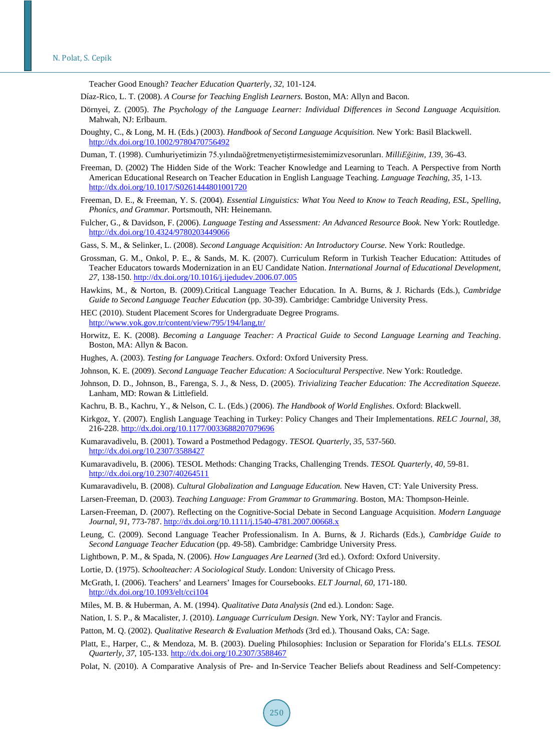Teacher Good Enough? *Teacher Education Quarterly, 32,* 101-124.

<span id="page-11-0"></span>Díaz-Rico, L. T. (2008). *A Course for Teaching English Learners.* Boston, MA: Allyn and Bacon.

- Dörnyei, Z. (2005). *The Psychology of the Language Learner: Individual Differences in Second Language Acquisition.*  Mahwah, NJ: Erlbaum.
- Doughty, C., & Long, M. H. (Eds.) (2003). *Handbook of Second Language Acquisition.* New York: Basil Blackwell. <http://dx.doi.org/10.1002/9780470756492>

Duman, T. (1998). Cumhuriyetimizin 75.yılındaöğretmenyetiştirmesistemimizvesorunları. *MilliEğitim, 139,* 36-43.

- Freeman, D. (2002) The Hidden Side of the Work: Teacher Knowledge and Learning to Teach. A Perspective from North American Educational Research on Teacher Education in English Language Teaching. *Language Teaching, 35,* 1-13. <http://dx.doi.org/10.1017/S0261444801001720>
- Freeman, D. E., & Freeman, Y. S. (2004). *Essential Linguistics: What You Need to Know to Teach Reading, ESL, Spelling, Phonics, and Grammar.* Portsmouth, NH: Heinemann.
- Fulcher, G., & Davidson, F. (2006). *Language Testing and Assessment: An Advanced Resource Book.* New York: Routledge. <http://dx.doi.org/10.4324/9780203449066>
- Gass, S. M., & Selinker, L. (2008). *Second Language Acquisition: An Introductory Course.* New York: Routledge.
- Grossman, G. M., Onkol, P. E., & Sands, M. K. (2007). Curriculum Reform in Turkish Teacher Education: Attitudes of Teacher Educators towards Modernization in an EU Candidate Nation. *International Journal of Educational Development, 27,* 138-150. <http://dx.doi.org/10.1016/j.ijedudev.2006.07.005>
- Hawkins, M., & Norton, B. (2009).Critical Language Teacher Education. In A. Burns, & J. Richards (Eds.), *Cambridge Guide to Second Language Teacher Education* (pp. 30-39). Cambridge: Cambridge University Press.
- HEC (2010). Student Placement Scores for Undergraduate Degree Programs. <http://www.yok.gov.tr/content/view/795/194/lang,tr/>
- Horwitz, E. K. (2008). *Becoming a Language Teacher: A Practical Guide to Second Language Learning and Teaching*. Boston, MA: Allyn & Bacon.
- Hughes, A. (2003). *Testing for Language Teachers*. Oxford: Oxford University Press.
- Johnson, K. E. (2009). *Second Language Teacher Education: A Sociocultural Perspective*. New York: Routledge.
- Johnson, D. D., Johnson, B., Farenga, S. J., & Ness, D. (2005). *Trivializing Teacher Education: The Accreditation Squeeze.* Lanham, MD: Rowan & Littlefield.
- Kachru, B. B., Kachru, Y., & Nelson, C. L. (Eds.) (2006). *The Handbook of World Englishes*. Oxford: Blackwell.
- Kirkgoz, Y. (2007). English Language Teaching in Turkey: Policy Changes and Their Implementations. *RELC Journal, 38,* 216-228. <http://dx.doi.org/10.1177/0033688207079696>
- Kumaravadivelu, B. (2001). Toward a Postmethod Pedagogy. *TESOL Quarterly, 35,* 537-560. <http://dx.doi.org/10.2307/3588427>
- Kumaravadivelu, B. (2006). TESOL Methods: Changing Tracks, Challenging Trends. *TESOL Quarterly, 40,* 59-81. <http://dx.doi.org/10.2307/40264511>
- Kumaravadivelu, B. (2008). *Cultural Globalization and Language Education.* New Haven, CT: Yale University Press.
- Larsen-Freeman, D. (2003). *Teaching Language: From Grammar to Grammaring*. Boston, MA: Thompson-Heinle.
- Larsen-Freeman, D. (2007). Reflecting on the Cognitive-Social Debate in Second Language Acquisition. *Modern Language Journal, 91,* 773-787.<http://dx.doi.org/10.1111/j.1540-4781.2007.00668.x>
- Leung, C. (2009). Second Language Teacher Professionalism. In A. Burns, & J. Richards (Eds.), *Cambridge Guide to Second Language Teacher Education* (pp. 49-58). Cambridge: Cambridge University Press.
- Lightbown, P. M., & Spada, N. (2006). *How Languages Are Learned* (3rd ed.). Oxford: Oxford University.
- Lortie, D. (1975). *Schoolteacher: A Sociological Study.* London: University of Chicago Press.
- McGrath, I. (2006). Teachers' and Learners' Images for Coursebooks. *ELT Journal, 60,* 171-180. <http://dx.doi.org/10.1093/elt/cci104>
- Miles, M. B. & Huberman, A. M. (1994). *Qualitative Data Analysis* (2nd ed.). London: Sage.
- Nation, I. S. P., & Macalister, J. (2010). *Language Curriculum Design*. New York, NY: Taylor and Francis.
- Patton, M. Q. (2002). *Qualitative Research & Evaluation Methods* (3rd ed.). Thousand Oaks, CA: Sage.
- Platt, E., Harper, C., & Mendoza, M. B. (2003). Dueling Philosophies: Inclusion or Separation for Florida's ELLs. *TESOL Quarterly, 37,* 105-133. <http://dx.doi.org/10.2307/3588467>
- <span id="page-11-1"></span>Polat, N. (2010). A Comparative Analysis of Pre- and In-Service Teacher Beliefs about Readiness and Self-Competency: